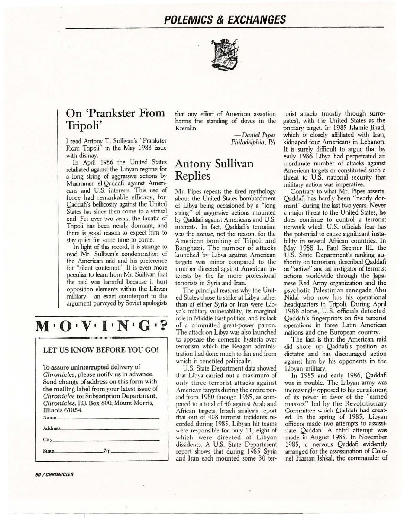## **POLEMICS** *&* **EXCHANGES**



## **On 'Prankster From Tripoli'**

I read Antom· T. Sullivan's "Prankster From Tripoli" in the May 1988 issue with dismay.

In April 1986 the United States retaliated against the Libyan regime for a long string of aggressive actions by Muammar ei-Qaddafi against Americans and U.S. interests. This use of force had remarkable efficacy, for Qaddafi's bellicosity against the United States has since then come to a virtual end. For over two years, the fanatic of Tripoli has been nearly dormant, and there is good reason to expect him to stay quiet for some time to come.

In light of this record, it is strange to read Mr. Sullivan's condemnation of the American raid and his preference for "silent contempt." It is even more peculiar to learn from Mr. Sullivan that the raid was harmful because it hurt opposition elements within the Libyan military - an exact counterpart to the argument purveyed by Soviet apologists

# $M \cdot O \cdot V \cdot I \cdot N \cdot G \cdot ?$

#### LET US KNOW BEFORE YOU GO!

To assure uninterrupted delivery of *Chronicles, please notify us in advance.* Send change of address on this form with the mailing label from your latest issue of *Chronicles* to: Subscription Department, *Chronicles,* P.O. Box 800, Mount Morris, Illinois 61054.  $\frac{1}{2}$ 

| Address.            |                  |  |
|---------------------|------------------|--|
| $City$ <sub>-</sub> | $\sim$<br>$\sim$ |  |
| State.              | $_{\rm Zip\_}$   |  |

50 / CHRONICLES

that any effort of American assertion harms the standing of doves in the Kremlin.

> *-Daniel Pipes Philadelphia, PA*

### **Antony Sullivan Replies**

\1r. Pipes repeats the tired mythology about the United States bombardment of Libya being occasioned by a "long string" of aggressive actions mounted by Qaddafi against Americans and U.S. interests. In fact, Qaddafi's terrorism was the *excuse,* not the reason, for the American bombing of Tripoli and Banghazi. The number of attacks launched by Libya against American targets was minor compared to the number directed against American interests by the far more professional terrorists in Syria and Iran.

The principal reasons why the United States chose to strike at Libya rather than at either Syria or Iran were Libya's military vulnerability, its marginal role in Middle East politics, and its lack of a committed great-power patron. The attack on Libya was also launched to appease the domestic hysteria over terrorism which the Reagan administration had done much to fan and from which it benefited politically.

U.S. State Department data showed that Libya carried out a maximum of only three terrorist attacks against American targets during the entire period from 1980 through 1985, as compared to a total of 46 against Arab and African targets. Israeli analysts report that out of 408 terrorist incidents recorded during 1985, Libyan hit teams were responsible for only 11, eight of which were directed at Libyan dissidents. A U.S. State Department report shows that during 1985 Syria and Iran each mounted some 30 terrorist attacks (mostly through surrogates), with the United States as the primary target. In 1985 Islamic Jihad, which is closely affiliated with Iran, kidnaped four Americans in Lebanon. It is surely difficult to argue that by early 1986 Libya had perpetrated an inordinate number of attacks against American targets or constituted such a threat to U.S. national security that military action was imperative.

Contrary to what Mr. Pipes asserts, Qaddafi has hardly been "nearly dormant" during the last two years. Never a major threat to the United States, he does continue to control a terrorist network which U.S. officials fear has the potential to cause significant instabilitv in several African countries. In May 1988 L. Paul Bremer III, the U.S. State Department's ranking authority on terrorism, described Qaddafi as "active" and an instigator of terrorist actions worldwide through the Japanese Red Army organization and the psychotic Palestinian renegade Abu Nidal who now has his operational headquarters in Tripoli. During April 1988 alone, U.S. officials detected Qaddafi's fingerprints on five terrorist operations in three Latin American nations and one European country.

The fact is that the American raid did shore up Qaddafi's position as dictator and has discouraged action against him by his opponents in the Libyan military.

1n 1985 and early 1986, Qaddafi was in trouble. The Libyan army was increasingly opposed to his curtailment of its power in favor of the "armed masses" led by the Revolutionary Committee which Qaddafi had created. In the spring of 1985, Libyan officers made two attempts to assassinate Qaddafi. A third attempt was made in August 1985. In November 1985, a nervous Qaddafi evidently arranged for the assassination of Colonel Hassan lshkal, the commander of